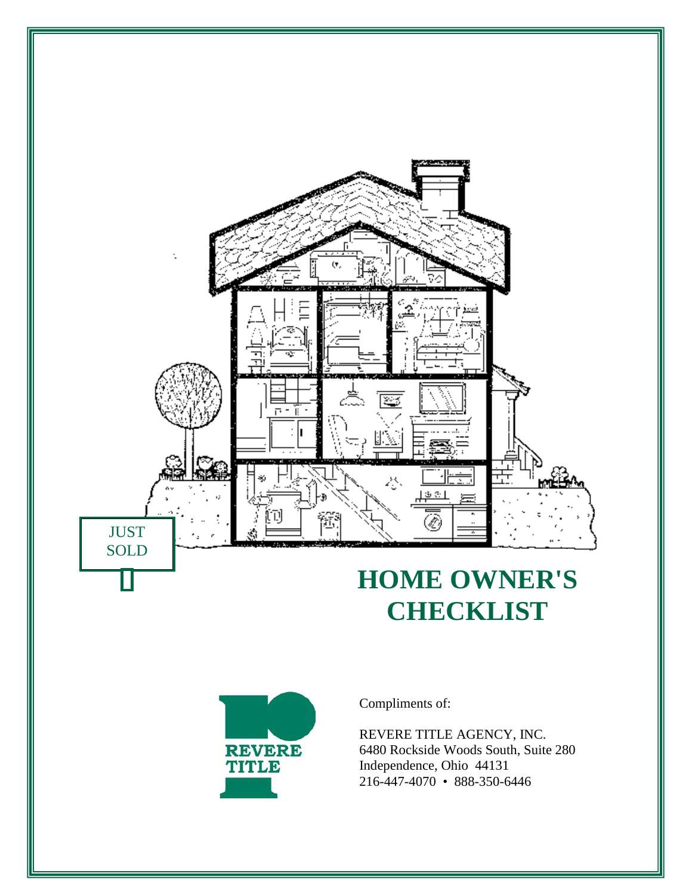

# **HOME OWNER'S CHECKLIST**



Compliments of:

REVERE TITLE AGENCY, INC. 6480 Rockside Woods South, Suite 280 Independence, Ohio 44131 216-447-4070 • 888-350-6446